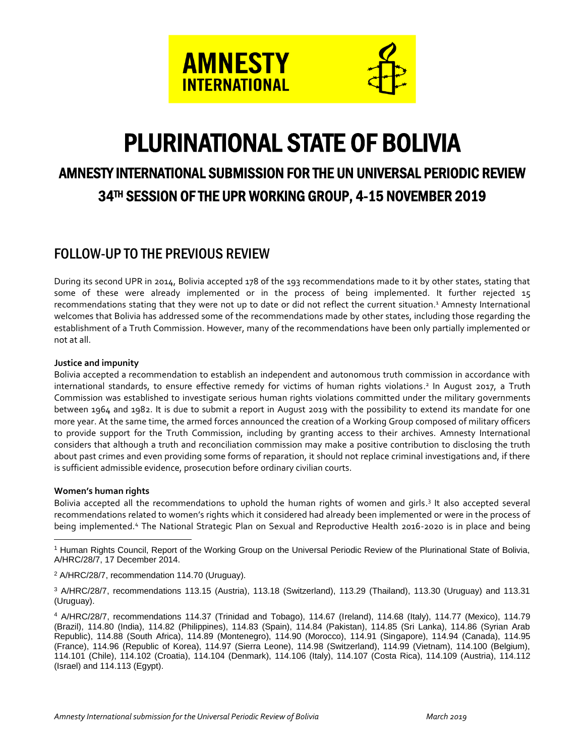

# PLURINATIONAL STATE OF BOLIVIA

## AMNESTY INTERNATIONAL SUBMISSION FOR THE UN UNIVERSAL PERIODIC REVIEW 34TH SESSION OF THE UPR WORKING GROUP, 4-15 NOVEMBER 2019

### FOLLOW-UP TO THE PREVIOUS REVIEW

During its second UPR in 2014, Bolivia accepted 178 of the 193 recommendations made to it by other states, stating that some of these were already implemented or in the process of being implemented. It further rejected 15 recommendations stating that they were not up to date or did not reflect the current situation.<sup>1</sup> Amnesty International welcomes that Bolivia has addressed some of the recommendations made by other states, including those regarding the establishment of a Truth Commission. However, many of the recommendations have been only partially implemented or not at all.

### **Justice and impunity**

Bolivia accepted a recommendation to establish an independent and autonomous truth commission in accordance with international standards, to ensure effective remedy for victims of human rights violations. 2 In August 2017, a Truth Commission was established to investigate serious human rights violations committed under the military governments between 1964 and 1982. It is due to submit a report in August 2019 with the possibility to extend its mandate for one more year. At the same time, the armed forces announced the creation of a Working Group composed of military officers to provide support for the Truth Commission, including by granting access to their archives. Amnesty International considers that although a truth and reconciliation commission may make a positive contribution to disclosing the truth about past crimes and even providing some forms of reparation, it should not replace criminal investigations and, if there is sufficient admissible evidence, prosecution before ordinary civilian courts.

### **Women's human rights**

Bolivia accepted all the recommendations to uphold the human rights of women and girls.<sup>3</sup> It also accepted several recommendations related to women's rights which it considered had already been implemented or were in the process of being implemented.<sup>4</sup> The National Strategic Plan on Sexual and Reproductive Health 2016-2020 is in place and being

 $\overline{a}$ <sup>1</sup> Human Rights Council, Report of the Working Group on the Universal Periodic Review of the Plurinational State of Bolivia, A/HRC/28/7, 17 December 2014.

<sup>2</sup> A/HRC/28/7, recommendation 114.70 (Uruguay).

<sup>3</sup> A/HRC/28/7, recommendations 113.15 (Austria), 113.18 (Switzerland), 113.29 (Thailand), 113.30 (Uruguay) and 113.31 (Uruguay).

<sup>4</sup> A/HRC/28/7, recommendations 114.37 (Trinidad and Tobago), 114.67 (Ireland), 114.68 (Italy), 114.77 (Mexico), 114.79 (Brazil), 114.80 (India), 114.82 (Philippines), 114.83 (Spain), 114.84 (Pakistan), 114.85 (Sri Lanka), 114.86 (Syrian Arab Republic), 114.88 (South Africa), 114.89 (Montenegro), 114.90 (Morocco), 114.91 (Singapore), 114.94 (Canada), 114.95 (France), 114.96 (Republic of Korea), 114.97 (Sierra Leone), 114.98 (Switzerland), 114.99 (Vietnam), 114.100 (Belgium), 114.101 (Chile), 114.102 (Croatia), 114.104 (Denmark), 114.106 (Italy), 114.107 (Costa Rica), 114.109 (Austria), 114.112 (Israel) and 114.113 (Egypt).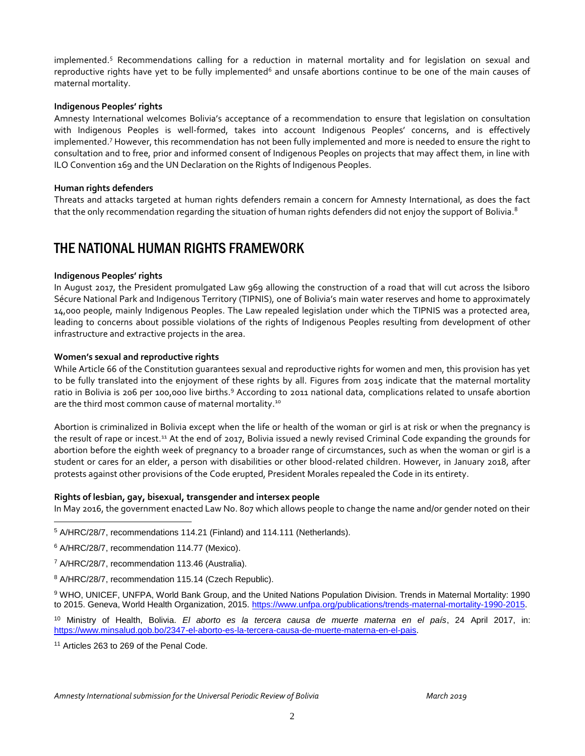implemented. <sup>5</sup> Recommendations calling for a reduction in maternal mortality and for legislation on sexual and reproductive rights have yet to be fully implemented<sup>6</sup> and unsafe abortions continue to be one of the main causes of maternal mortality.

### **Indigenous Peoples' rights**

Amnesty International welcomes Bolivia's acceptance of a recommendation to ensure that legislation on consultation with Indigenous Peoples is well-formed, takes into account Indigenous Peoples' concerns, and is effectively implemented. <sup>7</sup> However, this recommendation has not been fully implemented and more is needed to ensure the right to consultation and to free, prior and informed consent of Indigenous Peoples on projects that may affect them, in line with ILO Convention 169 and the UN Declaration on the Rights of Indigenous Peoples.

### **Human rights defenders**

Threats and attacks targeted at human rights defenders remain a concern for Amnesty International, as does the fact that the only recommendation regarding the situation of human rights defenders did not enjoy the support of Bolivia. $^8$ 

### THE NATIONAL HUMAN RIGHTS FRAMEWORK

### **Indigenous Peoples' rights**

In August 2017, the President promulgated Law 969 allowing the construction of a road that will cut across the Isiboro Sécure National Park and Indigenous Territory (TIPNIS), one of Bolivia's main water reserves and home to approximately 14,000 people, mainly Indigenous Peoples. The Law repealed legislation under which the TIPNIS was a protected area, leading to concerns about possible violations of the rights of Indigenous Peoples resulting from development of other infrastructure and extractive projects in the area.

### **Women's sexual and reproductive rights**

While Article 66 of the Constitution guarantees sexual and reproductive rights for women and men, this provision has yet to be fully translated into the enjoyment of these rights by all. Figures from 2015 indicate that the maternal mortality ratio in Bolivia is 206 per 100,000 live births.<sup>9</sup> According to 2011 national data, complications related to unsafe abortion are the third most common cause of maternal mortality.<sup>10</sup>

Abortion is criminalized in Bolivia except when the life or health of the woman or girl is at risk or when the pregnancy is the result of rape or incest.<sup>11</sup> At the end of 2017, Bolivia issued a newly revised Criminal Code expanding the grounds for abortion before the eighth week of pregnancy to a broader range of circumstances, such as when the woman or girl is a student or cares for an elder, a person with disabilities or other blood-related children. However, in January 2018, after protests against other provisions of the Code erupted, President Morales repealed the Code in its entirety.

#### **Rights of lesbian, gay, bisexual, transgender and intersex people**

In May 2016, the government enacted Law No. 807 which allows people to change the name and/or gender noted on their

 $\overline{a}$ 

<sup>8</sup> A/HRC/28/7, recommendation 115.14 (Czech Republic).

<sup>9</sup> WHO, UNICEF, UNFPA, World Bank Group, and the United Nations Population Division. Trends in Maternal Mortality: 1990 to 2015. Geneva, World Health Organization, 2015. [https://www.unfpa.org/publications/trends-maternal-mortality-1990-2015.](https://www.unfpa.org/publications/trends-maternal-mortality-1990-2015)

<sup>10</sup> Ministry of Health, Bolivia. *El aborto es la tercera causa de muerte materna en el país*, 24 April 2017, in: [https://www.minsalud.gob.bo/2347-el-aborto-es-la-tercera-causa-de-muerte-materna-en-el-pais.](https://www.minsalud.gob.bo/2347-el-aborto-es-la-tercera-causa-de-muerte-materna-en-el-pais)

<sup>11</sup> Articles 263 to 269 of the Penal Code.

<sup>5</sup> A/HRC/28/7, recommendations 114.21 (Finland) and 114.111 (Netherlands).

<sup>6</sup> A/HRC/28/7, recommendation 114.77 (Mexico).

<sup>7</sup> A/HRC/28/7, recommendation 113.46 (Australia).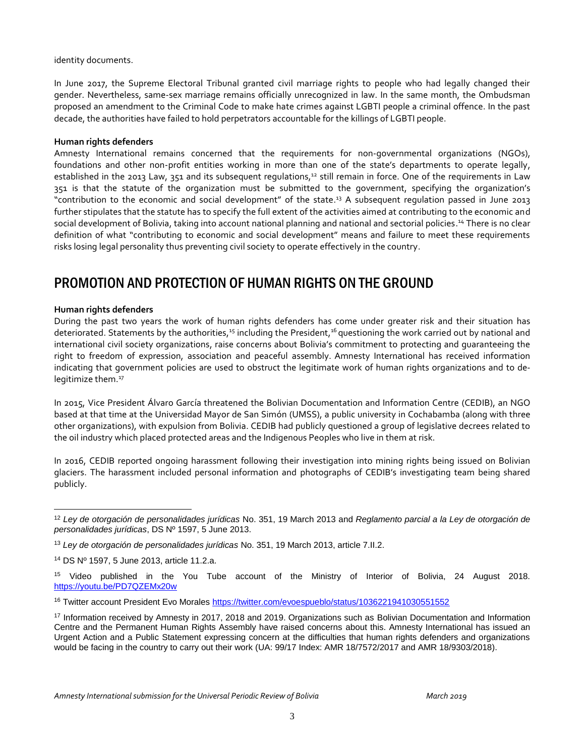identity documents.

In June 2017, the Supreme Electoral Tribunal granted civil marriage rights to people who had legally changed their gender. Nevertheless, same-sex marriage remains officially unrecognized in law. In the same month, the Ombudsman proposed an amendment to the Criminal Code to make hate crimes against LGBTI people a criminal offence. In the past decade, the authorities have failed to hold perpetrators accountable for the killings of LGBTI people.

### **Human rights defenders**

Amnesty International remains concerned that the requirements for non-governmental organizations (NGOs), foundations and other non-profit entities working in more than one of the state's departments to operate legally, established in the 2013 Law, 351 and its subsequent regulations,<sup>12</sup> still remain in force. One of the requirements in Law 351 is that the statute of the organization must be submitted to the government, specifying the organization's "contribution to the economic and social development" of the state.<sup>13</sup> A subsequent regulation passed in June 2013 further stipulates that the statute has to specify the full extent of the activities aimed at contributing to the economic and social development of Bolivia, taking into account national planning and national and sectorial policies. <sup>14</sup> There is no clear definition of what "contributing to economic and social development" means and failure to meet these requirements risks losing legal personality thus preventing civil society to operate effectively in the country.

### PROMOTION AND PROTECTION OF HUMAN RIGHTS ON THE GROUND

### **Human rights defenders**

 $\overline{a}$ 

During the past two years the work of human rights defenders has come under greater risk and their situation has deteriorated. Statements by the authorities,<sup>15</sup> including the President,<sup>16</sup> questioning the work carried out by national and international civil society organizations, raise concerns about Bolivia's commitment to protecting and guaranteeing the right to freedom of expression, association and peaceful assembly. Amnesty International has received information indicating that government policies are used to obstruct the legitimate work of human rights organizations and to delegitimize them. 17

In 2015, Vice President Álvaro García threatened the Bolivian Documentation and Information Centre (CEDIB), an NGO based at that time at the Universidad Mayor de San Simón (UMSS), a public university in Cochabamba (along with three other organizations), with expulsion from Bolivia. CEDIB had publicly questioned a group of legislative decrees related to the oil industry which placed protected areas and the Indigenous Peoples who live in them at risk.

In 2016, CEDIB reported ongoing harassment following their investigation into mining rights being issued on Bolivian glaciers. The harassment included personal information and photographs of CEDIB's investigating team being shared publicly.

<sup>12</sup> *Ley de otorgación de personalidades jurídicas* No. 351, 19 March 2013 and *Reglamento parcial a la Ley de otorgación de personalidades jurídicas*, DS Nº 1597, 5 June 2013.

<sup>13</sup> *Ley de otorgación de personalidades jurídicas* No. 351, 19 March 2013, article 7.II.2.

<sup>14</sup> DS Nº 1597, 5 June 2013, article 11.2.a.

<sup>&</sup>lt;sup>15</sup> Video published in the You Tube account of the Ministry of Interior of Bolivia, 24 August 2018. <https://youtu.be/PD7QZEMx20w>

<sup>&</sup>lt;sup>16</sup> Twitter account President Evo Morales<https://twitter.com/evoespueblo/status/1036221941030551552>

<sup>17</sup> Information received by Amnesty in 2017, 2018 and 2019. Organizations such as Bolivian Documentation and Information Centre and the Permanent Human Rights Assembly have raised concerns about this. Amnesty International has issued an Urgent Action and a Public Statement expressing concern at the difficulties that human rights defenders and organizations would be facing in the country to carry out their work (UA: 99/17 Index: AMR 18/7572/2017 and AMR 18/9303/2018).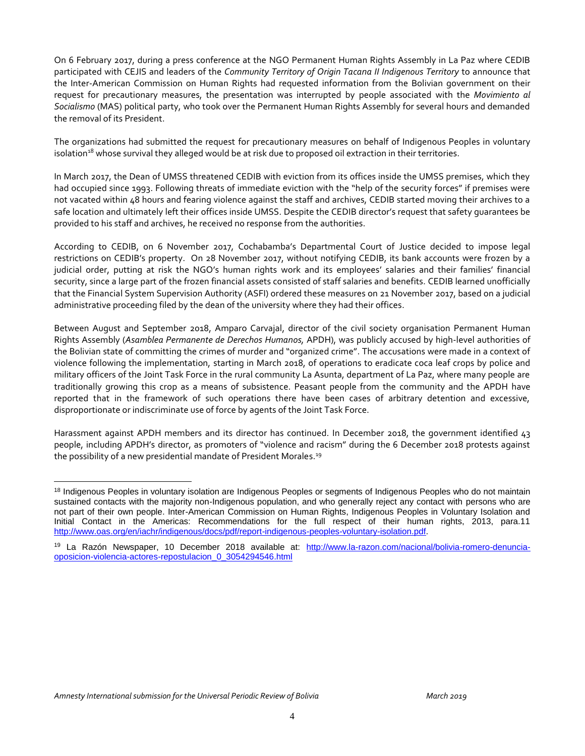On 6 February 2017, during a press conference at the NGO Permanent Human Rights Assembly in La Paz where CEDIB participated with CEJIS and leaders of the *Community Territory of Origin Tacana II Indigenous Territory* to announce that the Inter-American Commission on Human Rights had requested information from the Bolivian government on their request for precautionary measures, the presentation was interrupted by people associated with the *Movimiento al Socialismo* (MAS) political party, who took over the Permanent Human Rights Assembly for several hours and demanded the removal of its President.

The organizations had submitted the request for precautionary measures on behalf of Indigenous Peoples in voluntary isolation<sup>18</sup> whose survival they alleged would be at risk due to proposed oil extraction in their territories.

In March 2017, the Dean of UMSS threatened CEDIB with eviction from its offices inside the UMSS premises, which they had occupied since 1993. Following threats of immediate eviction with the "help of the security forces" if premises were not vacated within 48 hours and fearing violence against the staff and archives, CEDIB started moving their archives to a safe location and ultimately left their offices inside UMSS. Despite the CEDIB director's request that safety guarantees be provided to his staff and archives, he received no response from the authorities.

According to CEDIB, on 6 November 2017, Cochabamba's Departmental Court of Justice decided to impose legal restrictions on CEDIB's property. On 28 November 2017, without notifying CEDIB, its bank accounts were frozen by a judicial order, putting at risk the NGO's human rights work and its employees' salaries and their families' financial security, since a large part of the frozen financial assets consisted of staff salaries and benefits. CEDIB learned unofficially that the Financial System Supervision Authority (ASFI) ordered these measures on 21 November 2017, based on a judicial administrative proceeding filed by the dean of the university where they had their offices.

Between August and September 2018, Amparo Carvajal, director of the civil society organisation Permanent Human Rights Assembly (*Asamblea Permanente de Derechos Humanos,* APDH), was publicly accused by high-level authorities of the Bolivian state of committing the crimes of murder and "organized crime". The accusations were made in a context of violence following the implementation, starting in March 2018, of operations to eradicate coca leaf crops by police and military officers of the Joint Task Force in the rural community La Asunta, department of La Paz, where many people are traditionally growing this crop as a means of subsistence. Peasant people from the community and the APDH have reported that in the framework of such operations there have been cases of arbitrary detention and excessive, disproportionate or indiscriminate use of force by agents of the Joint Task Force.

Harassment against APDH members and its director has continued. In December 2018, the government identified 43 people, including APDH's director, as promoters of "violence and racism" during the 6 December 2018 protests against the possibility of a new presidential mandate of President Morales.<sup>19</sup>

 $\overline{a}$ <sup>18</sup> Indigenous Peoples in voluntary isolation are Indigenous Peoples or segments of Indigenous Peoples who do not maintain sustained contacts with the majority non-Indigenous population, and who generally reject any contact with persons who are not part of their own people. Inter-American Commission on Human Rights, Indigenous Peoples in Voluntary Isolation and Initial Contact in the Americas: Recommendations for the full respect of their human rights, 2013, para.11 [http://www.oas.org/en/iachr/indigenous/docs/pdf/report-indigenous-peoples-voluntary-isolation.pdf.](http://www.oas.org/en/iachr/indigenous/docs/pdf/report-indigenous-peoples-voluntary-isolation.pdf)

<sup>19</sup> La Razón Newspaper, 10 December 2018 available at: [http://www.la-razon.com/nacional/bolivia-romero-denuncia](http://www.la-razon.com/nacional/bolivia-romero-denuncia-oposicion-violencia-actores-repostulacion_0_3054294546.html)[oposicion-violencia-actores-repostulacion\\_0\\_3054294546.html](http://www.la-razon.com/nacional/bolivia-romero-denuncia-oposicion-violencia-actores-repostulacion_0_3054294546.html)